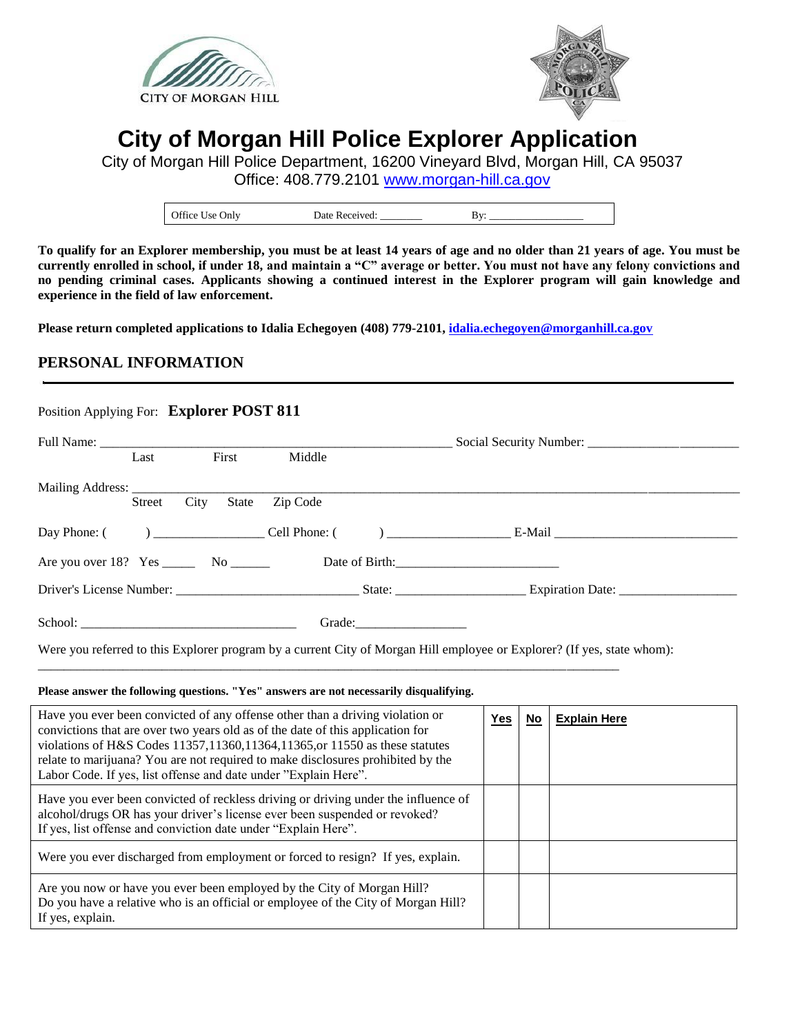



# **City of Morgan Hill Police Explorer Application**

City of Morgan Hill Police Department, 16200 Vineyard Blvd, Morgan Hill, CA 95037 Office: 408.779.2101 [www.morgan-hill.ca.gov](http://www.morgan-hill.ca.gov/)

| Office Use Only | Date Received: | Rw.<br>u |
|-----------------|----------------|----------|
|-----------------|----------------|----------|

**To qualify for an Explorer membership, you must be at least 14 years of age and no older than 21 years of age. You must be currently enrolled in school, if under 18, and maintain a "C" average or better. You must not have any felony convictions and no pending criminal cases. Applicants showing a continued interest in the Explorer program will gain knowledge and experience in the field of law enforcement.** 

**Please return completed applications to Idalia Echegoyen (408) 779-2101, idalia.echegoyen@morganhill.ca.gov**

## **PERSONAL INFORMATION**

# Position Applying For: **Explorer POST 811** Full Name: \_\_\_\_\_\_\_\_\_\_\_\_\_\_\_\_\_\_\_\_\_\_\_\_\_\_\_\_\_\_\_\_\_\_\_\_\_\_\_\_\_\_\_\_\_\_\_\_\_\_\_\_\_\_ Social Security Number: \_\_\_\_\_\_\_\_\_\_\_\_\_\_\_\_\_\_\_\_\_\_\_ Last First Middle Mailing Address: Street City State Zip Code Day Phone: ( ) \_\_\_\_\_\_\_\_\_\_\_\_\_\_\_\_\_ Cell Phone: ( ) \_\_\_\_\_\_\_\_\_\_\_\_\_\_\_\_\_\_\_ E-Mail \_\_\_\_\_\_\_\_\_\_\_\_\_\_\_\_\_\_\_\_\_\_\_\_\_\_\_\_ Are you over 18? Yes \_\_\_\_\_ No \_\_\_\_\_\_ Date of Birth:\_\_\_\_\_\_\_\_\_\_\_\_\_\_\_\_\_\_\_\_\_\_\_\_\_ Driver's License Number: \_\_\_\_\_\_\_\_\_\_\_\_\_\_\_\_\_\_\_\_\_\_\_\_\_\_\_\_ State: \_\_\_\_\_\_\_\_\_\_\_\_\_\_\_\_\_\_\_\_ Expiration Date: \_\_\_\_\_\_\_\_\_\_\_\_\_\_\_\_\_\_ School: \_\_\_\_\_\_\_\_\_\_\_\_\_\_\_\_\_\_\_\_\_\_\_\_\_\_\_\_\_\_\_\_\_ Grade:\_\_\_\_\_\_\_\_\_\_\_\_\_\_\_\_\_

Were you referred to this Explorer program by a current City of Morgan Hill employee or Explorer? (If yes, state whom): \_\_\_\_\_\_\_\_\_\_\_\_\_\_\_\_\_\_\_\_\_\_\_\_\_\_\_\_\_\_\_\_\_\_\_\_\_\_\_\_\_\_\_\_\_\_\_\_\_\_\_\_\_\_\_\_\_\_\_\_\_\_\_\_\_\_\_\_\_\_\_\_\_\_\_\_\_\_\_\_\_\_\_\_\_\_\_\_\_

#### **Please answer the following questions. "Yes" answers are not necessarily disqualifying.**

| Have you ever been convicted of any offense other than a driving violation or<br>convictions that are over two years old as of the date of this application for<br>violations of H&S Codes 11357,11360,11364,11365, or 11550 as these statutes<br>relate to marijuana? You are not required to make disclosures prohibited by the<br>Labor Code. If yes, list offense and date under "Explain Here". | <u>Yes</u> | No | <b>Explain Here</b> |
|------------------------------------------------------------------------------------------------------------------------------------------------------------------------------------------------------------------------------------------------------------------------------------------------------------------------------------------------------------------------------------------------------|------------|----|---------------------|
| Have you ever been convicted of reckless driving or driving under the influence of<br>alcohol/drugs OR has your driver's license ever been suspended or revoked?<br>If yes, list offense and conviction date under "Explain Here".                                                                                                                                                                   |            |    |                     |
| Were you ever discharged from employment or forced to resign? If yes, explain.                                                                                                                                                                                                                                                                                                                       |            |    |                     |
| Are you now or have you ever been employed by the City of Morgan Hill?<br>Do you have a relative who is an official or employee of the City of Morgan Hill?<br>If yes, explain.                                                                                                                                                                                                                      |            |    |                     |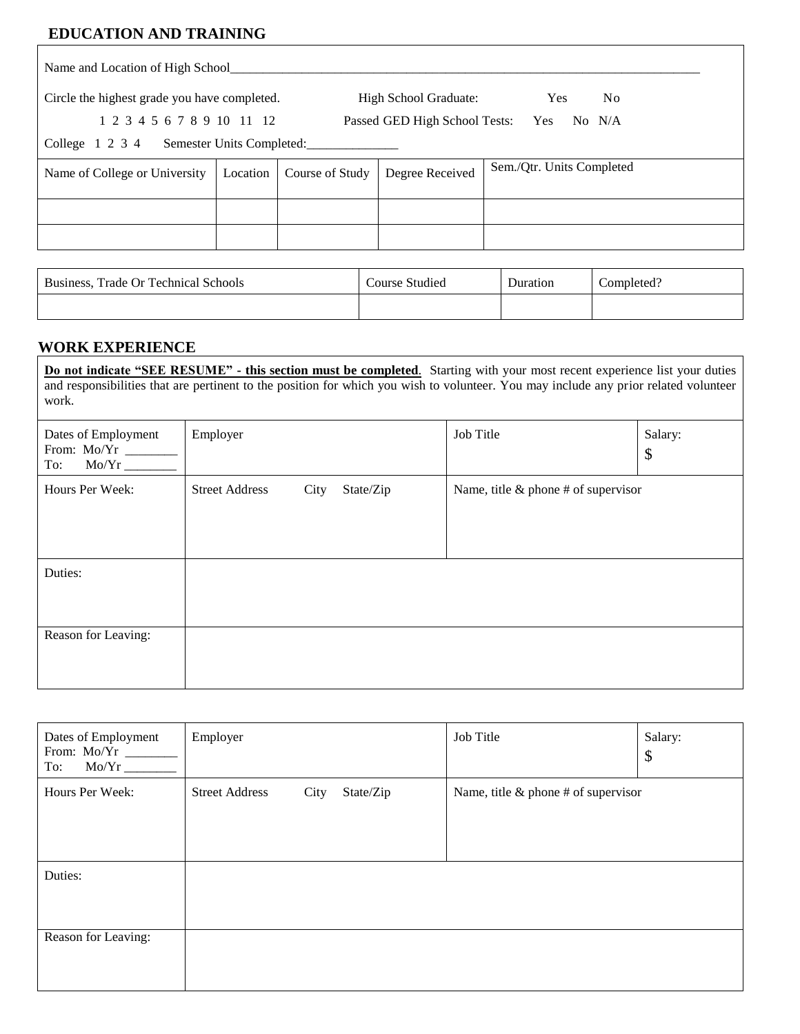# **EDUCATION AND TRAINING**

| Name and Location of High School                                                                      |                 |                               |                           |  |  |  |
|-------------------------------------------------------------------------------------------------------|-----------------|-------------------------------|---------------------------|--|--|--|
| Circle the highest grade you have completed.<br>High School Graduate:<br>N <sub>o</sub><br><b>Yes</b> |                 |                               |                           |  |  |  |
| 1 2 3 4 5 6 7 8 9 10 11 12                                                                            |                 | Passed GED High School Tests: | No N/A<br>Yes             |  |  |  |
| College $1\ 2\ 3\ 4$                                                                                  |                 | Semester Units Completed:     |                           |  |  |  |
| Name of College or University                                                                         | Course of Study | Degree Received               | Sem./Qtr. Units Completed |  |  |  |
|                                                                                                       |                 |                               |                           |  |  |  |
|                                                                                                       |                 |                               |                           |  |  |  |

| Business, Trade Or Technical Schools | Course Studied | Duration | Completed? |
|--------------------------------------|----------------|----------|------------|
|                                      |                |          |            |

# **WORK EXPERIENCE**

| <b>Do not indicate "SEE RESUME" - this section must be completed.</b> Starting with your most recent experience list your duties<br>and responsibilities that are pertinent to the position for which you wish to volunteer. You may include any prior related volunteer<br>work. |                                            |                                        |               |  |  |
|-----------------------------------------------------------------------------------------------------------------------------------------------------------------------------------------------------------------------------------------------------------------------------------|--------------------------------------------|----------------------------------------|---------------|--|--|
| Dates of Employment<br>To:                                                                                                                                                                                                                                                        | Employer                                   | Job Title                              | Salary:<br>\$ |  |  |
| Hours Per Week:                                                                                                                                                                                                                                                                   | <b>Street Address</b><br>City<br>State/Zip | Name, title $\&$ phone # of supervisor |               |  |  |
| Duties:                                                                                                                                                                                                                                                                           |                                            |                                        |               |  |  |
| Reason for Leaving:                                                                                                                                                                                                                                                               |                                            |                                        |               |  |  |

| Dates of Employment<br>From: Mo/Yr ________<br>To: | Employer              |      |           | Job Title                             | Salary:<br>\$ |
|----------------------------------------------------|-----------------------|------|-----------|---------------------------------------|---------------|
| Hours Per Week:                                    | <b>Street Address</b> | City | State/Zip | Name, title $&$ phone # of supervisor |               |
| Duties:                                            |                       |      |           |                                       |               |
| Reason for Leaving:                                |                       |      |           |                                       |               |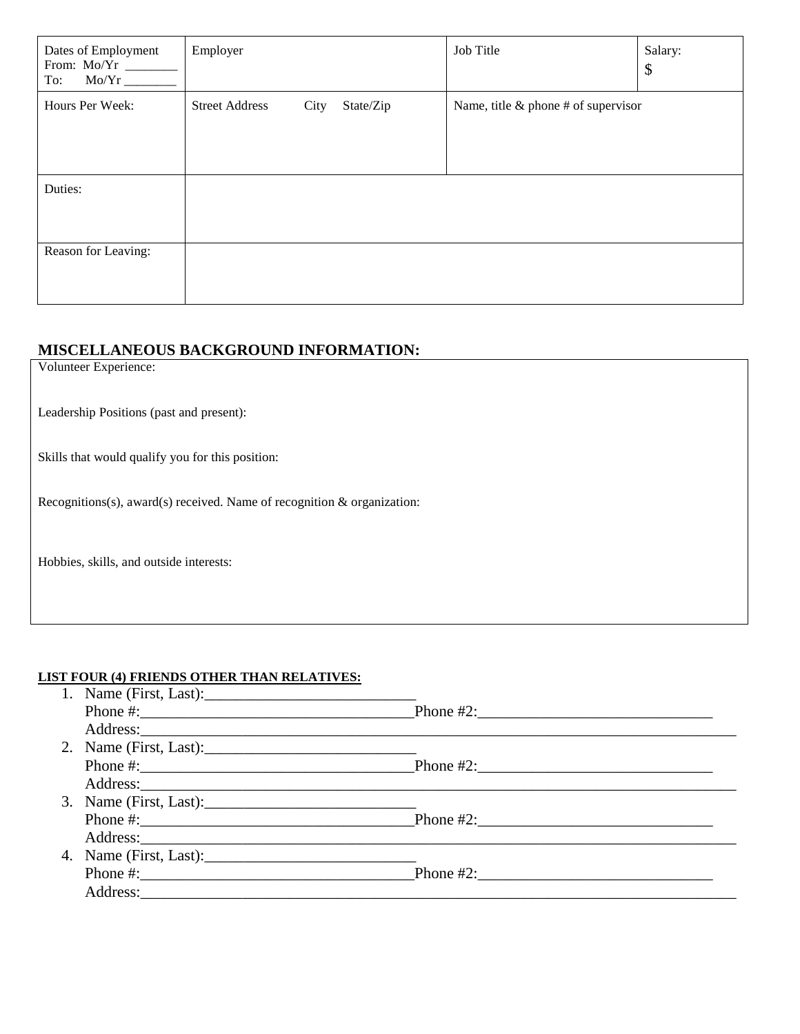| Dates of Employment<br>From: Mo/Yr _______<br>Mo/Yr<br>To: | Employer                      |           | Job Title                              | Salary:<br>$\boldsymbol{\mathsf{\$}}$ |
|------------------------------------------------------------|-------------------------------|-----------|----------------------------------------|---------------------------------------|
| Hours Per Week:                                            | <b>Street Address</b><br>City | State/Zip | Name, title $\&$ phone # of supervisor |                                       |
| Duties:                                                    |                               |           |                                        |                                       |
| Reason for Leaving:                                        |                               |           |                                        |                                       |

## **MISCELLANEOUS BACKGROUND INFORMATION:**

Volunteer Experience:

Leadership Positions (past and present):

Skills that would qualify you for this position:

Recognitions(s), award(s) received. Name of recognition & organization:

Hobbies, skills, and outside interests:

### **LIST FOUR (4) FRIENDS OTHER THAN RELATIVES:**

| Address: No. 1998                   |  |
|-------------------------------------|--|
|                                     |  |
|                                     |  |
| Address: No. 1998                   |  |
| 3. Name (First, Last): 2008. [2010] |  |
|                                     |  |
|                                     |  |
|                                     |  |
| Phone $\#$ : Phone $\#2$ :          |  |
|                                     |  |